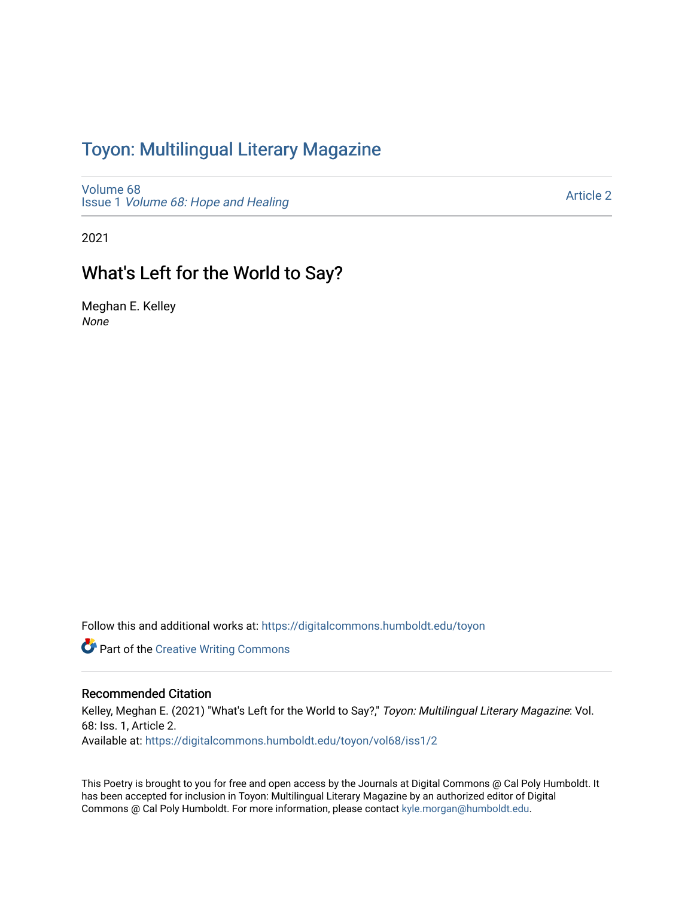## Toyon: Multilingual Literar[y](https://digitalcommons.humboldt.edu/toyon) Magazine

[Volume 68](https://digitalcommons.humboldt.edu/toyon/vol68) Issue 1 [Volume 68: Hope and Healing](https://digitalcommons.humboldt.edu/toyon/vol68/iss1) 

[Article 2](https://digitalcommons.humboldt.edu/toyon/vol68/iss1/2) 

2021

## What's Left for the World to Say?

Meghan E. Kelley None

Follow this and additional works at: [https://digitalcommons.humboldt.edu/toyon](https://digitalcommons.humboldt.edu/toyon?utm_source=digitalcommons.humboldt.edu%2Ftoyon%2Fvol68%2Fiss1%2F2&utm_medium=PDF&utm_campaign=PDFCoverPages)

**Part of the Creative Writing Commons** 

## Recommended Citation

Kelley, Meghan E. (2021) "What's Left for the World to Say?," Toyon: Multilingual Literary Magazine: Vol. 68: Iss. 1, Article 2. Available at: [https://digitalcommons.humboldt.edu/toyon/vol68/iss1/2](https://digitalcommons.humboldt.edu/toyon/vol68/iss1/2?utm_source=digitalcommons.humboldt.edu%2Ftoyon%2Fvol68%2Fiss1%2F2&utm_medium=PDF&utm_campaign=PDFCoverPages)

This Poetry is brought to you for free and open access by the Journals at Digital Commons @ Cal Poly Humboldt. It has been accepted for inclusion in Toyon: Multilingual Literary Magazine by an authorized editor of Digital Commons @ Cal Poly Humboldt. For more information, please contact [kyle.morgan@humboldt.edu](mailto:kyle.morgan@humboldt.edu).